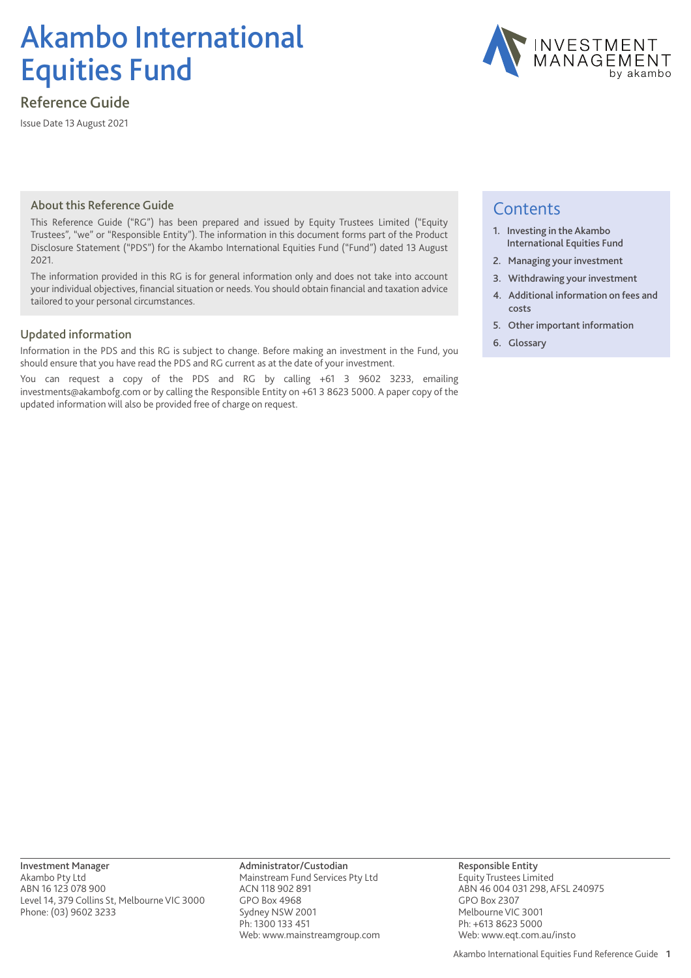# Akambo International Equities Fund

## Reference Guide

Issue Date 13 August 2021



## About this Reference Guide

This Reference Guide ("RG") has been prepared and issued by Equity Trustees Limited ("Equity Trustees", "we" or "Responsible Entity"). The information in this document forms part of the Product Disclosure Statement ("PDS") for the Akambo International Equities Fund ("Fund") dated 13 August 2021.

The information provided in this RG is for general information only and does not take into account your individual objectives, financial situation or needs. You should obtain financial and taxation advice tailored to your personal circumstances.

## Updated information

Information in the PDS and this RG is subject to change. Before making an investment in the Fund, you should ensure that you have read the PDS and RG current as at the date of your investment.

You can request a copy of the PDS and RG by calling +61 3 9602 3233, emailing investments@akambofg.com or by calling the Responsible Entity on +61 3 8623 5000. A paper copy of the updated information will also be provided free of charge on request.

## **Contents**

- 1. Investing in the Akambo International Equities Fund
- 2. Managing your investment
- 3. Withdrawing your investment
- 4. Additional information on fees and costs
- 5. Other important information
- 6. Glossary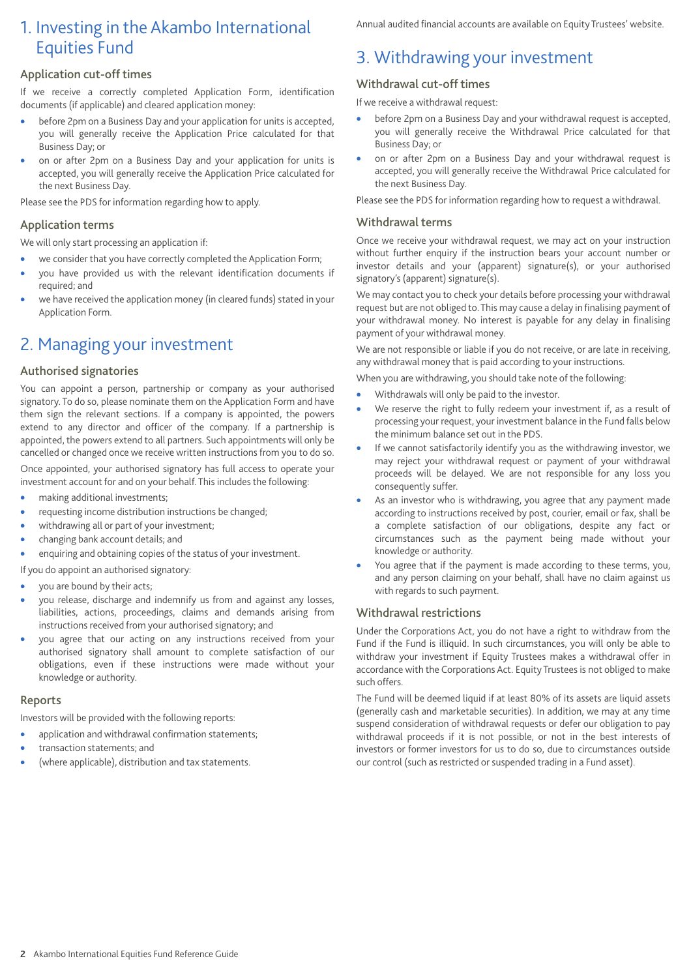## 1. Investing in the Akambo International Equities Fund

## Application cut-off times

If we receive a correctly completed Application Form, identification documents (if applicable) and cleared application money:

- before 2pm on a Business Day and your application for units is accepted, you will generally receive the Application Price calculated for that Business Day; or
- on or after 2pm on a Business Day and your application for units is accepted, you will generally receive the Application Price calculated for the next Business Day.

Please see the PDS for information regarding how to apply.

## Application terms

We will only start processing an application if:

- we consider that you have correctly completed the Application Form;
- you have provided us with the relevant identification documents if required; and
- we have received the application money (in cleared funds) stated in your Application Form.

## 2. Managing your investment

## Authorised signatories

You can appoint a person, partnership or company as your authorised signatory. To do so, please nominate them on the Application Form and have them sign the relevant sections. If a company is appointed, the powers extend to any director and officer of the company. If a partnership is appointed, the powers extend to all partners. Such appointments will only be cancelled or changed once we receive written instructions from you to do so.

Once appointed, your authorised signatory has full access to operate your investment account for and on your behalf. This includes the following:

- making additional investments;
- requesting income distribution instructions be changed;
- withdrawing all or part of your investment;
- changing bank account details; and
- enquiring and obtaining copies of the status of your investment.
- If you do appoint an authorised signatory:
- you are bound by their acts;
- you release, discharge and indemnify us from and against any losses, liabilities, actions, proceedings, claims and demands arising from instructions received from your authorised signatory; and
- you agree that our acting on any instructions received from your authorised signatory shall amount to complete satisfaction of our obligations, even if these instructions were made without your knowledge or authority.

## Reports

Investors will be provided with the following reports:

- application and withdrawal confirmation statements;
- transaction statements; and
- (where applicable), distribution and tax statements.

Annual audited financial accounts are available on Equity Trustees' website.

## 3. Withdrawing your investment

## Withdrawal cut-off times

If we receive a withdrawal request:

- before 2pm on a Business Day and your withdrawal request is accepted, you will generally receive the Withdrawal Price calculated for that Business Day; or
- on or after 2pm on a Business Day and your withdrawal request is accepted, you will generally receive the Withdrawal Price calculated for the next Business Day.

Please see the PDS for information regarding how to request a withdrawal.

## Withdrawal terms

Once we receive your withdrawal request, we may act on your instruction without further enquiry if the instruction bears your account number or investor details and your (apparent) signature(s), or your authorised signatory's (apparent) signature(s).

We may contact you to check your details before processing your withdrawal request but are not obliged to.This may cause a delay in finalising payment of your withdrawal money. No interest is payable for any delay in finalising payment of your withdrawal money.

We are not responsible or liable if you do not receive, or are late in receiving, any withdrawal money that is paid according to your instructions.

When you are withdrawing, you should take note of the following:

- Withdrawals will only be paid to the investor.
- We reserve the right to fully redeem your investment if, as a result of processing your request, your investment balance in the Fund falls below the minimum balance set out in the PDS.
- If we cannot satisfactorily identify you as the withdrawing investor, we may reject your withdrawal request or payment of your withdrawal proceeds will be delayed. We are not responsible for any loss you consequently suffer.
- As an investor who is withdrawing, you agree that any payment made according to instructions received by post, courier, email or fax, shall be a complete satisfaction of our obligations, despite any fact or circumstances such as the payment being made without your knowledge or authority.
- You agree that if the payment is made according to these terms, you, and any person claiming on your behalf, shall have no claim against us with regards to such payment.

## Withdrawal restrictions

Under the Corporations Act, you do not have a right to withdraw from the Fund if the Fund is illiquid. In such circumstances, you will only be able to withdraw your investment if Equity Trustees makes a withdrawal offer in accordance with the Corporations Act. Equity Trustees is not obliged to make such offers.

The Fund will be deemed liquid if at least 80% of its assets are liquid assets (generally cash and marketable securities). In addition, we may at any time suspend consideration of withdrawal requests or defer our obligation to pay withdrawal proceeds if it is not possible, or not in the best interests of investors or former investors for us to do so, due to circumstances outside our control (such as restricted or suspended trading in a Fund asset).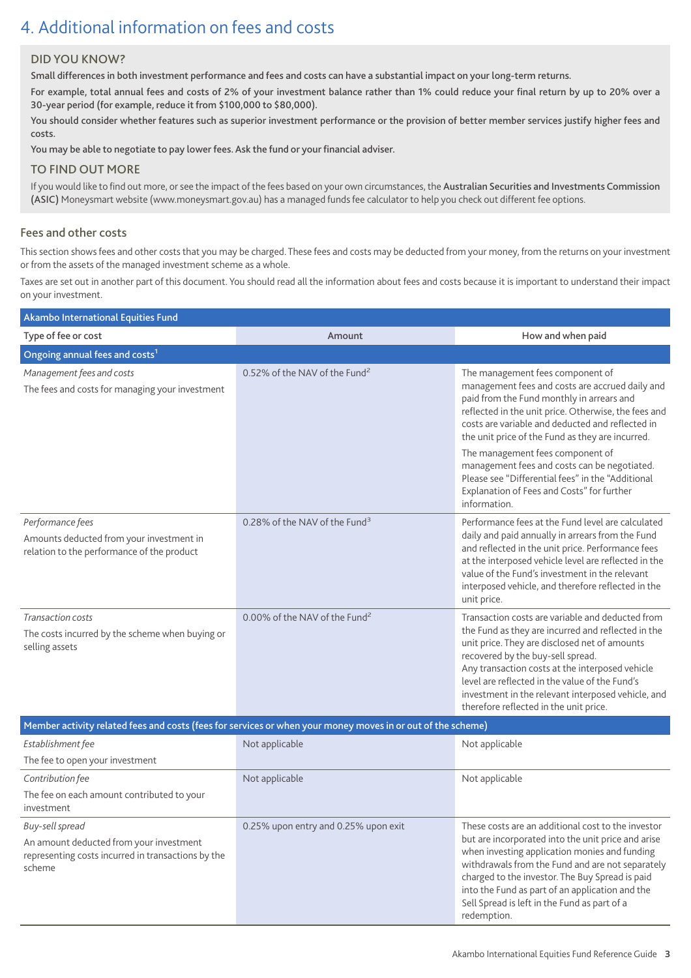## 4. Additional information on fees and costs

## DID YOU KNOW?

Small differences in both investment performance and fees and costs can have a substantial impact on your long-term returns.

For example, total annual fees and costs of 2% of your investment balance rather than 1% could reduce your final return by up to 20% over a 30-year period (for example, reduce it from \$100,000 to \$80,000).

You should consider whether features such as superior investment performance or the provision of better member services justify higher fees and costs.

You may be able to negotiate to pay lower fees. Ask the fund or your financial adviser.

## TO FIND OUT MORE

If you would like to find out more, or see the impact of the fees based on your own circumstances, the Australian Securities and Investments Commission (ASIC) Moneysmart website (www.moneysmart.gov.au) has a managed funds fee calculator to help you check out different fee options.

## Fees and other costs

This section shows fees and other costs that you may be charged. These fees and costs may be deducted from your money, from the returns on your investment or from the assets of the managed investment scheme as a whole.

Taxes are set out in another part of this document. You should read all the information about fees and costs because it is important to understand their impact on your investment.

| Akambo International Equities Fund                                                                         |                                           |                                                                                                                                                                                                                                                                                                                                                                                                   |  |  |
|------------------------------------------------------------------------------------------------------------|-------------------------------------------|---------------------------------------------------------------------------------------------------------------------------------------------------------------------------------------------------------------------------------------------------------------------------------------------------------------------------------------------------------------------------------------------------|--|--|
| Type of fee or cost                                                                                        | Amount                                    | How and when paid                                                                                                                                                                                                                                                                                                                                                                                 |  |  |
| Ongoing annual fees and costs <sup>1</sup>                                                                 |                                           |                                                                                                                                                                                                                                                                                                                                                                                                   |  |  |
| Management fees and costs<br>The fees and costs for managing your investment                               | 0.52% of the NAV of the Fund <sup>2</sup> | The management fees component of<br>management fees and costs are accrued daily and<br>paid from the Fund monthly in arrears and<br>reflected in the unit price. Otherwise, the fees and<br>costs are variable and deducted and reflected in<br>the unit price of the Fund as they are incurred.                                                                                                  |  |  |
|                                                                                                            |                                           | The management fees component of<br>management fees and costs can be negotiated.<br>Please see "Differential fees" in the "Additional<br>Explanation of Fees and Costs" for further<br>information.                                                                                                                                                                                               |  |  |
| Performance fees<br>Amounts deducted from your investment in<br>relation to the performance of the product | 0.28% of the NAV of the Fund <sup>3</sup> | Performance fees at the Fund level are calculated<br>daily and paid annually in arrears from the Fund<br>and reflected in the unit price. Performance fees<br>at the interposed vehicle level are reflected in the<br>value of the Fund's investment in the relevant<br>interposed vehicle, and therefore reflected in the<br>unit price.                                                         |  |  |
| <b>Transaction costs</b><br>The costs incurred by the scheme when buying or<br>selling assets              | 0.00% of the NAV of the Fund <sup>2</sup> | Transaction costs are variable and deducted from<br>the Fund as they are incurred and reflected in the<br>unit price. They are disclosed net of amounts<br>recovered by the buy-sell spread.<br>Any transaction costs at the interposed vehicle<br>level are reflected in the value of the Fund's<br>investment in the relevant interposed vehicle, and<br>therefore reflected in the unit price. |  |  |

| Member activity related fees and costs (fees for services or when your money moves in or out of the scheme)                |                                      |                                                                                                                                                                                                                                                                                                                                                                                    |  |
|----------------------------------------------------------------------------------------------------------------------------|--------------------------------------|------------------------------------------------------------------------------------------------------------------------------------------------------------------------------------------------------------------------------------------------------------------------------------------------------------------------------------------------------------------------------------|--|
| Establishment fee                                                                                                          | Not applicable                       | Not applicable                                                                                                                                                                                                                                                                                                                                                                     |  |
| The fee to open your investment                                                                                            |                                      |                                                                                                                                                                                                                                                                                                                                                                                    |  |
| Contribution fee                                                                                                           | Not applicable                       | Not applicable                                                                                                                                                                                                                                                                                                                                                                     |  |
| The fee on each amount contributed to your<br>investment                                                                   |                                      |                                                                                                                                                                                                                                                                                                                                                                                    |  |
| Buy-sell spread<br>An amount deducted from your investment<br>representing costs incurred in transactions by the<br>scheme | 0.25% upon entry and 0.25% upon exit | These costs are an additional cost to the investor<br>but are incorporated into the unit price and arise<br>when investing application monies and funding<br>withdrawals from the Fund and are not separately<br>charged to the investor. The Buy Spread is paid<br>into the Fund as part of an application and the<br>Sell Spread is left in the Fund as part of a<br>redemption. |  |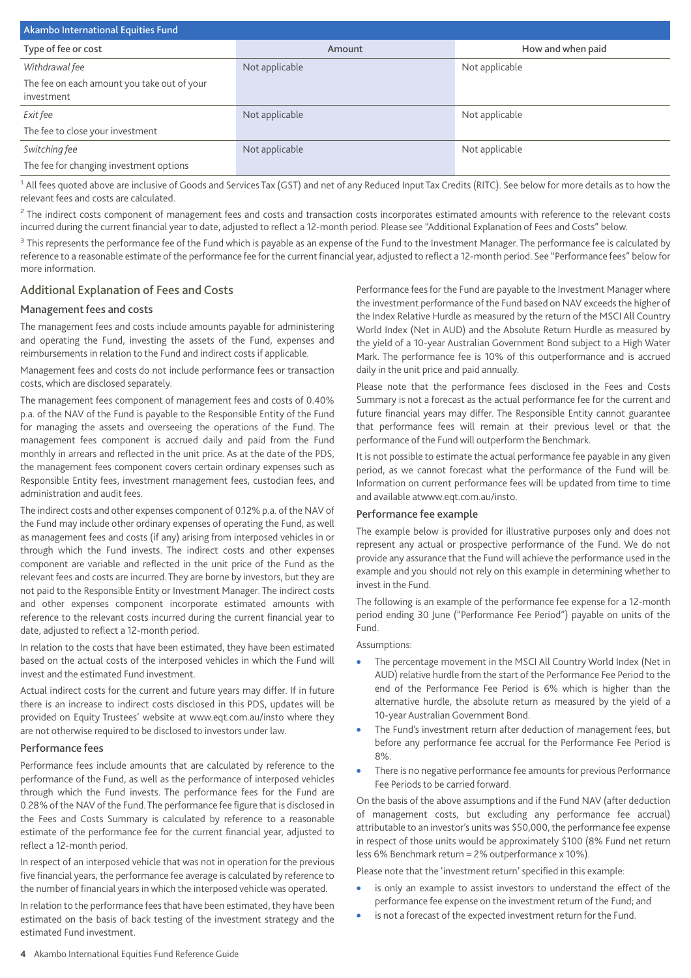| Akambo International Equities Fund                        |                |                   |  |
|-----------------------------------------------------------|----------------|-------------------|--|
| Type of fee or cost                                       | Amount         | How and when paid |  |
| Withdrawal fee                                            | Not applicable | Not applicable    |  |
| The fee on each amount you take out of your<br>investment |                |                   |  |
| <i>Exit fee</i>                                           | Not applicable | Not applicable    |  |
| The fee to close your investment                          |                |                   |  |
| Switching fee                                             | Not applicable | Not applicable    |  |
| The fee for changing investment options                   |                |                   |  |

<sup>1</sup> All fees quoted above are inclusive of Goods and Services Tax (GST) and net of any Reduced Input Tax Credits (RITC). See below for more details as to how the relevant fees and costs are calculated.

<sup>2</sup> The indirect costs component of management fees and costs and transaction costs incorporates estimated amounts with reference to the relevant costs incurred during the current financial year to date, adjusted to reflect a 12-month period. Please see "Additional Explanation of Fees and Costs" below.

<sup>3</sup> This represents the performance fee of the Fund which is payable as an expense of the Fund to the Investment Manager. The performance fee is calculated by reference to a reasonable estimate of the performance fee for the current financial year, adjusted to reflect a 12-month period. See "Performance fees" below for more information.

## Additional Explanation of Fees and Costs

#### Management fees and costs

The management fees and costs include amounts payable for administering and operating the Fund, investing the assets of the Fund, expenses and reimbursements in relation to the Fund and indirect costs if applicable.

Management fees and costs do not include performance fees or transaction costs, which are disclosed separately.

The management fees component of management fees and costs of 0.40% p.a. of the NAV of the Fund is payable to the Responsible Entity of the Fund for managing the assets and overseeing the operations of the Fund. The management fees component is accrued daily and paid from the Fund monthly in arrears and reflected in the unit price. As at the date of the PDS, the management fees component covers certain ordinary expenses such as Responsible Entity fees, investment management fees, custodian fees, and administration and audit fees.

The indirect costs and other expenses component of 0.12% p.a. of the NAV of the Fund may include other ordinary expenses of operating the Fund, as well as management fees and costs (if any) arising from interposed vehicles in or through which the Fund invests. The indirect costs and other expenses component are variable and reflected in the unit price of the Fund as the relevant fees and costs are incurred. They are borne by investors, but they are not paid to the Responsible Entity or Investment Manager. The indirect costs and other expenses component incorporate estimated amounts with reference to the relevant costs incurred during the current financial year to date, adjusted to reflect a 12-month period.

In relation to the costs that have been estimated, they have been estimated based on the actual costs of the interposed vehicles in which the Fund will invest and the estimated Fund investment.

Actual indirect costs for the current and future years may differ. If in future there is an increase to indirect costs disclosed in this PDS, updates will be provided on Equity Trustees' website at www.eqt.com.au/insto where they are not otherwise required to be disclosed to investors under law.

#### Performance fees

Performance fees include amounts that are calculated by reference to the performance of the Fund, as well as the performance of interposed vehicles through which the Fund invests. The performance fees for the Fund are 0.28% of the NAV of the Fund. The performance fee figure that is disclosed in the Fees and Costs Summary is calculated by reference to a reasonable estimate of the performance fee for the current financial year, adjusted to reflect a 12-month period.

In respect of an interposed vehicle that was not in operation for the previous five financial years, the performance fee average is calculated by reference to the number of financial years in which the interposed vehicle was operated.

In relation to the performance fees that have been estimated, they have been estimated on the basis of back testing of the investment strategy and the estimated Fund investment.

Performance fees for the Fund are payable to the Investment Manager where the investment performance of the Fund based on NAV exceeds the higher of the Index Relative Hurdle as measured by the return of the MSCI All Country World Index (Net in AUD) and the Absolute Return Hurdle as measured by the yield of a 10-year Australian Government Bond subject to a High Water Mark. The performance fee is 10% of this outperformance and is accrued daily in the unit price and paid annually.

Please note that the performance fees disclosed in the Fees and Costs Summary is not a forecast as the actual performance fee for the current and future financial years may differ. The Responsible Entity cannot guarantee that performance fees will remain at their previous level or that the performance of the Fund will outperform the Benchmark.

It is not possible to estimate the actual performance fee payable in any given period, as we cannot forecast what the performance of the Fund will be. Information on current performance fees will be updated from time to time and available atwww.eqt.com.au/insto.

#### Performance fee example

The example below is provided for illustrative purposes only and does not represent any actual or prospective performance of the Fund. We do not provide any assurance that the Fund will achieve the performance used in the example and you should not rely on this example in determining whether to invest in the Fund.

The following is an example of the performance fee expense for a 12-month period ending 30 June ("Performance Fee Period") payable on units of the Fund.

#### Assumptions:

- The percentage movement in the MSCI All Country World Index (Net in AUD) relative hurdle from the start of the Performance Fee Period to the end of the Performance Fee Period is 6% which is higher than the alternative hurdle, the absolute return as measured by the yield of a 10-year Australian Government Bond.
- The Fund's investment return after deduction of management fees, but before any performance fee accrual for the Performance Fee Period is 8%.
- There is no negative performance fee amounts for previous Performance Fee Periods to be carried forward.

On the basis of the above assumptions and if the Fund NAV (after deduction of management costs, but excluding any performance fee accrual) attributable to an investor's units was \$50,000, the performance fee expense in respect of those units would be approximately \$100 (8% Fund net return less 6% Benchmark return = 2% outperformance x 10%).

Please note that the 'investment return' specified in this example:

- is only an example to assist investors to understand the effect of the performance fee expense on the investment return of the Fund; and
- is not a forecast of the expected investment return for the Fund.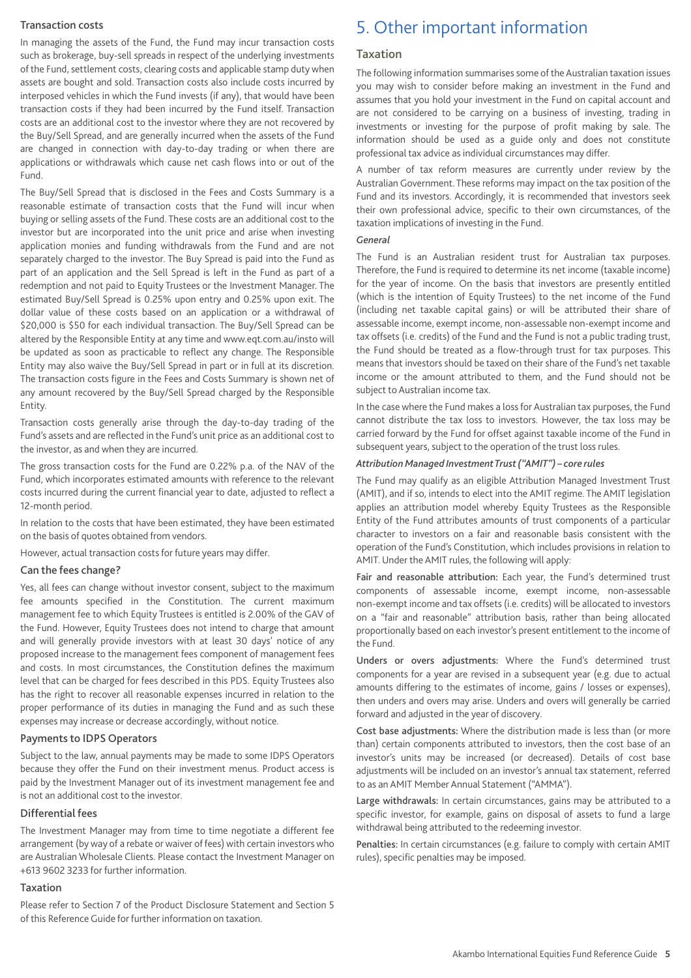#### Transaction costs

In managing the assets of the Fund, the Fund may incur transaction costs such as brokerage, buy-sell spreads in respect of the underlying investments of the Fund, settlement costs, clearing costs and applicable stamp duty when assets are bought and sold. Transaction costs also include costs incurred by interposed vehicles in which the Fund invests (if any), that would have been transaction costs if they had been incurred by the Fund itself. Transaction costs are an additional cost to the investor where they are not recovered by the Buy/Sell Spread, and are generally incurred when the assets of the Fund are changed in connection with day-to-day trading or when there are applications or withdrawals which cause net cash flows into or out of the Fund.

The Buy/Sell Spread that is disclosed in the Fees and Costs Summary is a reasonable estimate of transaction costs that the Fund will incur when buying or selling assets of the Fund. These costs are an additional cost to the investor but are incorporated into the unit price and arise when investing application monies and funding withdrawals from the Fund and are not separately charged to the investor. The Buy Spread is paid into the Fund as part of an application and the Sell Spread is left in the Fund as part of a redemption and not paid to Equity Trustees or the Investment Manager. The estimated Buy/Sell Spread is 0.25% upon entry and 0.25% upon exit. The dollar value of these costs based on an application or a withdrawal of \$20,000 is \$50 for each individual transaction. The Buy/Sell Spread can be altered by the Responsible Entity at any time and www.eqt.com.au/insto will be updated as soon as practicable to reflect any change. The Responsible Entity may also waive the Buy/Sell Spread in part or in full at its discretion. The transaction costs figure in the Fees and Costs Summary is shown net of any amount recovered by the Buy/Sell Spread charged by the Responsible Entity.

Transaction costs generally arise through the day-to-day trading of the Fund's assets and are reflected in the Fund's unit price as an additional cost to the investor, as and when they are incurred.

The gross transaction costs for the Fund are 0.22% p.a. of the NAV of the Fund, which incorporates estimated amounts with reference to the relevant costs incurred during the current financial year to date, adjusted to reflect a 12-month period.

In relation to the costs that have been estimated, they have been estimated on the basis of quotes obtained from vendors.

However, actual transaction costs for future years may differ.

#### Can the fees change?

Yes, all fees can change without investor consent, subject to the maximum fee amounts specified in the Constitution. The current maximum management fee to which Equity Trustees is entitled is 2.00% of the GAV of the Fund. However, Equity Trustees does not intend to charge that amount and will generally provide investors with at least 30 days' notice of any proposed increase to the management fees component of management fees and costs. In most circumstances, the Constitution defines the maximum level that can be charged for fees described in this PDS. Equity Trustees also has the right to recover all reasonable expenses incurred in relation to the proper performance of its duties in managing the Fund and as such these expenses may increase or decrease accordingly, without notice.

#### Payments to IDPS Operators

Subject to the law, annual payments may be made to some IDPS Operators because they offer the Fund on their investment menus. Product access is paid by the Investment Manager out of its investment management fee and is not an additional cost to the investor.

#### Differential fees

The Investment Manager may from time to time negotiate a different fee arrangement (by way of a rebate or waiver of fees) with certain investors who are Australian Wholesale Clients. Please contact the Investment Manager on +613 9602 3233 for further information.

## Taxation

Please refer to Section 7 of the Product Disclosure Statement and Section 5 of this Reference Guide for further information on taxation.

## 5. Other important information

#### Taxation

The following information summarises some of the Australian taxation issues you may wish to consider before making an investment in the Fund and assumes that you hold your investment in the Fund on capital account and are not considered to be carrying on a business of investing, trading in investments or investing for the purpose of profit making by sale. The information should be used as a guide only and does not constitute professional tax advice as individual circumstances may differ.

A number of tax reform measures are currently under review by the Australian Government. These reforms may impact on the tax position of the Fund and its investors. Accordingly, it is recommended that investors seek their own professional advice, specific to their own circumstances, of the taxation implications of investing in the Fund.

#### *General*

The Fund is an Australian resident trust for Australian tax purposes. Therefore, the Fund is required to determine its net income (taxable income) for the year of income. On the basis that investors are presently entitled (which is the intention of Equity Trustees) to the net income of the Fund (including net taxable capital gains) or will be attributed their share of assessable income, exempt income, non-assessable non-exempt income and tax offsets (i.e. credits) of the Fund and the Fund is not a public trading trust, the Fund should be treated as a flow-through trust for tax purposes. This means that investors should be taxed on their share of the Fund's net taxable income or the amount attributed to them, and the Fund should not be subject to Australian income tax.

In the case where the Fund makes a loss for Australian tax purposes, the Fund cannot distribute the tax loss to investors. However, the tax loss may be carried forward by the Fund for offset against taxable income of the Fund in subsequent years, subject to the operation of the trust loss rules.

#### *Attribution Managed InvestmentTrust ("AMIT") – core rules*

The Fund may qualify as an eligible Attribution Managed Investment Trust (AMIT), and if so, intends to elect into the AMIT regime. The AMIT legislation applies an attribution model whereby Equity Trustees as the Responsible Entity of the Fund attributes amounts of trust components of a particular character to investors on a fair and reasonable basis consistent with the operation of the Fund's Constitution, which includes provisions in relation to AMIT. Under the AMIT rules, the following will apply:

Fair and reasonable attribution: Each year, the Fund's determined trust components of assessable income, exempt income, non-assessable non-exempt income and tax offsets (i.e. credits) will be allocated to investors on a "fair and reasonable" attribution basis, rather than being allocated proportionally based on each investor's present entitlement to the income of the Fund.

Unders or overs adjustments: Where the Fund's determined trust components for a year are revised in a subsequent year (e.g. due to actual amounts differing to the estimates of income, gains / losses or expenses), then unders and overs may arise. Unders and overs will generally be carried forward and adjusted in the year of discovery.

Cost base adjustments: Where the distribution made is less than (or more than) certain components attributed to investors, then the cost base of an investor's units may be increased (or decreased). Details of cost base adjustments will be included on an investor's annual tax statement, referred to as an AMIT Member Annual Statement ("AMMA").

Large withdrawals: In certain circumstances, gains may be attributed to a specific investor, for example, gains on disposal of assets to fund a large withdrawal being attributed to the redeeming investor.

Penalties: In certain circumstances (e.g. failure to comply with certain AMIT rules), specific penalties may be imposed.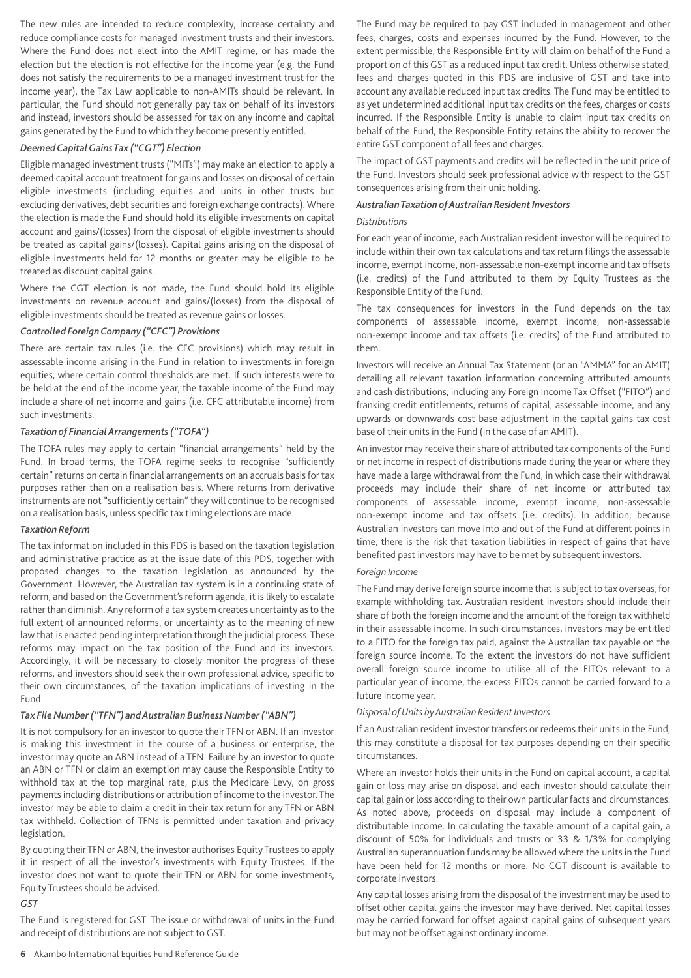The new rules are intended to reduce complexity, increase certainty and reduce compliance costs for managed investment trusts and their investors. Where the Fund does not elect into the AMIT regime, or has made the election but the election is not effective for the income year (e.g. the Fund does not satisfy the requirements to be a managed investment trust for the income year), the Tax Law applicable to non-AMITs should be relevant. In particular, the Fund should not generally pay tax on behalf of its investors and instead, investors should be assessed for tax on any income and capital gains generated by the Fund to which they become presently entitled.

## *DeemedCapitalGainsTax ("CGT") Election*

Eligible managed investment trusts ("MITs") may make an election to apply a deemed capital account treatment for gains and losses on disposal of certain eligible investments (including equities and units in other trusts but excluding derivatives, debt securities and foreign exchange contracts). Where the election is made the Fund should hold its eligible investments on capital account and gains/(losses) from the disposal of eligible investments should be treated as capital gains/(losses). Capital gains arising on the disposal of eligible investments held for 12 months or greater may be eligible to be treated as discount capital gains.

Where the CGT election is not made, the Fund should hold its eligible investments on revenue account and gains/(losses) from the disposal of eligible investments should be treated as revenue gains or losses.

#### *Controlled ForeignCompany ("CFC") Provisions*

There are certain tax rules (i.e. the CFC provisions) which may result in assessable income arising in the Fund in relation to investments in foreign equities, where certain control thresholds are met. If such interests were to be held at the end of the income year, the taxable income of the Fund may include a share of net income and gains (i.e. CFC attributable income) from such investments.

#### *Taxation of Financial Arrangements ("TOFA")*

The TOFA rules may apply to certain "financial arrangements" held by the Fund. In broad terms, the TOFA regime seeks to recognise "sufficiently certain" returns on certain financial arrangements on an accruals basis for tax purposes rather than on a realisation basis. Where returns from derivative instruments are not "sufficiently certain" they will continue to be recognised on a realisation basis, unless specific tax timing elections are made.

#### *Taxation Reform*

The tax information included in this PDS is based on the taxation legislation and administrative practice as at the issue date of this PDS, together with proposed changes to the taxation legislation as announced by the Government. However, the Australian tax system is in a continuing state of reform, and based on the Government's reform agenda, it is likely to escalate rather than diminish. Any reform of a tax system creates uncertainty as to the full extent of announced reforms, or uncertainty as to the meaning of new law that is enacted pending interpretation through the judicial process.These reforms may impact on the tax position of the Fund and its investors. Accordingly, it will be necessary to closely monitor the progress of these reforms, and investors should seek their own professional advice, specific to their own circumstances, of the taxation implications of investing in the Fund.

#### *Tax File Number ("TFN") and Australian Business Number ("ABN")*

It is not compulsory for an investor to quote their TFN or ABN. If an investor is making this investment in the course of a business or enterprise, the investor may quote an ABN instead of a TFN. Failure by an investor to quote an ABN or TFN or claim an exemption may cause the Responsible Entity to withhold tax at the top marginal rate, plus the Medicare Levy, on gross payments including distributions or attribution of income to the investor.The investor may be able to claim a credit in their tax return for any TFN or ABN tax withheld. Collection of TFNs is permitted under taxation and privacy legislation.

By quoting their TFN or ABN, the investor authorises Equity Trustees to apply it in respect of all the investor's investments with Equity Trustees. If the investor does not want to quote their TFN or ABN for some investments, Equity Trustees should be advised.

#### *GST*

The Fund is registered for GST. The issue or withdrawal of units in the Fund and receipt of distributions are not subject to GST.

The Fund may be required to pay GST included in management and other fees, charges, costs and expenses incurred by the Fund. However, to the extent permissible, the Responsible Entity will claim on behalf of the Fund a proportion of this GST as a reduced input tax credit. Unless otherwise stated, fees and charges quoted in this PDS are inclusive of GST and take into account any available reduced input tax credits. The Fund may be entitled to as yet undetermined additional input tax credits on the fees, charges or costs incurred. If the Responsible Entity is unable to claim input tax credits on behalf of the Fund, the Responsible Entity retains the ability to recover the entire GST component of all fees and charges.

The impact of GST payments and credits will be reflected in the unit price of the Fund. Investors should seek professional advice with respect to the GST consequences arising from their unit holding.

#### *AustralianTaxation of Australian Resident Investors*

#### *Distributions*

For each year of income, each Australian resident investor will be required to include within their own tax calculations and tax return filings the assessable income, exempt income, non-assessable non-exempt income and tax offsets (i.e. credits) of the Fund attributed to them by Equity Trustees as the Responsible Entity of the Fund.

The tax consequences for investors in the Fund depends on the tax components of assessable income, exempt income, non-assessable non-exempt income and tax offsets (i.e. credits) of the Fund attributed to them.

Investors will receive an Annual Tax Statement (or an "AMMA" for an AMIT) detailing all relevant taxation information concerning attributed amounts and cash distributions, including any Foreign Income Tax Offset ("FITO") and franking credit entitlements, returns of capital, assessable income, and any upwards or downwards cost base adjustment in the capital gains tax cost base of their units in the Fund (in the case of an AMIT).

An investor may receive their share of attributed tax components of the Fund or net income in respect of distributions made during the year or where they have made a large withdrawal from the Fund, in which case their withdrawal proceeds may include their share of net income or attributed tax components of assessable income, exempt income, non-assessable non-exempt income and tax offsets (i.e. credits). In addition, because Australian investors can move into and out of the Fund at different points in time, there is the risk that taxation liabilities in respect of gains that have benefited past investors may have to be met by subsequent investors.

#### *Foreign Income*

The Fund may derive foreign source income that is subject to tax overseas, for example withholding tax. Australian resident investors should include their share of both the foreign income and the amount of the foreign tax withheld in their assessable income. In such circumstances, investors may be entitled to a FITO for the foreign tax paid, against the Australian tax payable on the foreign source income. To the extent the investors do not have sufficient overall foreign source income to utilise all of the FITOs relevant to a particular year of income, the excess FITOs cannot be carried forward to a future income year.

#### *Disposal of Units by Australian Resident Investors*

If an Australian resident investor transfers or redeems their units in the Fund, this may constitute a disposal for tax purposes depending on their specific circumstances.

Where an investor holds their units in the Fund on capital account, a capital gain or loss may arise on disposal and each investor should calculate their capital gain or loss according to their own particular facts and circumstances. As noted above, proceeds on disposal may include a component of distributable income. In calculating the taxable amount of a capital gain, a discount of 50% for individuals and trusts or 33 & 1/3% for complying Australian superannuation funds may be allowed where the units in the Fund have been held for 12 months or more. No CGT discount is available to corporate investors.

Any capital losses arising from the disposal of the investment may be used to offset other capital gains the investor may have derived. Net capital losses may be carried forward for offset against capital gains of subsequent years but may not be offset against ordinary income.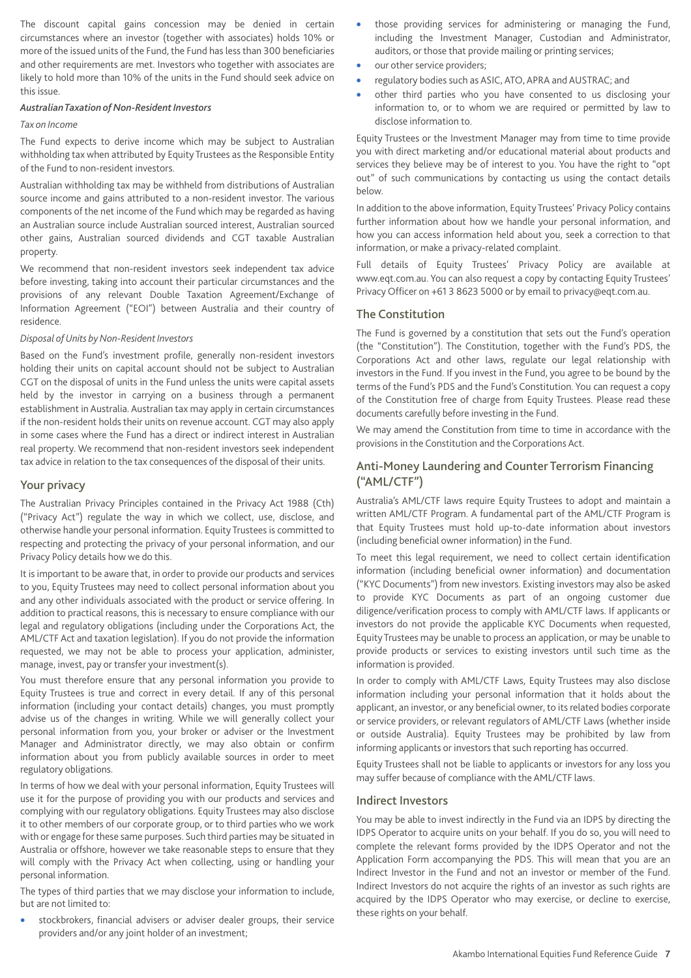The discount capital gains concession may be denied in certain circumstances where an investor (together with associates) holds 10% or more of the issued units of the Fund, the Fund has less than 300 beneficiaries and other requirements are met. Investors who together with associates are likely to hold more than 10% of the units in the Fund should seek advice on this issue.

#### *AustralianTaxation of Non-Resident Investors*

#### *Tax on Income*

The Fund expects to derive income which may be subject to Australian withholding tax when attributed by Equity Trustees as the Responsible Entity of the Fund to non-resident investors.

Australian withholding tax may be withheld from distributions of Australian source income and gains attributed to a non-resident investor. The various components of the net income of the Fund which may be regarded as having an Australian source include Australian sourced interest, Australian sourced other gains, Australian sourced dividends and CGT taxable Australian property.

We recommend that non-resident investors seek independent tax advice before investing, taking into account their particular circumstances and the provisions of any relevant Double Taxation Agreement/Exchange of Information Agreement ("EOI") between Australia and their country of residence.

#### *Disposal of Units by Non-Resident Investors*

Based on the Fund's investment profile, generally non-resident investors holding their units on capital account should not be subject to Australian CGT on the disposal of units in the Fund unless the units were capital assets held by the investor in carrying on a business through a permanent establishment in Australia. Australian tax may apply in certain circumstances if the non-resident holds their units on revenue account. CGT may also apply in some cases where the Fund has a direct or indirect interest in Australian real property. We recommend that non-resident investors seek independent tax advice in relation to the tax consequences of the disposal of their units.

#### Your privacy

The Australian Privacy Principles contained in the Privacy Act 1988 (Cth) ("Privacy Act") regulate the way in which we collect, use, disclose, and otherwise handle your personal information. Equity Trustees is committed to respecting and protecting the privacy of your personal information, and our Privacy Policy details how we do this.

It is important to be aware that, in order to provide our products and services to you, Equity Trustees may need to collect personal information about you and any other individuals associated with the product or service offering. In addition to practical reasons, this is necessary to ensure compliance with our legal and regulatory obligations (including under the Corporations Act, the AML/CTF Act and taxation legislation). If you do not provide the information requested, we may not be able to process your application, administer, manage, invest, pay or transfer your investment(s).

You must therefore ensure that any personal information you provide to Equity Trustees is true and correct in every detail. If any of this personal information (including your contact details) changes, you must promptly advise us of the changes in writing. While we will generally collect your personal information from you, your broker or adviser or the Investment Manager and Administrator directly, we may also obtain or confirm information about you from publicly available sources in order to meet regulatory obligations.

In terms of how we deal with your personal information, Equity Trustees will use it for the purpose of providing you with our products and services and complying with our regulatory obligations. Equity Trustees may also disclose it to other members of our corporate group, or to third parties who we work with or engage for these same purposes. Such third parties may be situated in Australia or offshore, however we take reasonable steps to ensure that they will comply with the Privacy Act when collecting, using or handling your personal information.

The types of third parties that we may disclose your information to include, but are not limited to:

• stockbrokers, financial advisers or adviser dealer groups, their service providers and/or any joint holder of an investment;

- those providing services for administering or managing the Fund, including the Investment Manager, Custodian and Administrator, auditors, or those that provide mailing or printing services;
- our other service providers;
- regulatory bodies such as ASIC, ATO, APRA and AUSTRAC; and
- other third parties who you have consented to us disclosing your information to, or to whom we are required or permitted by law to disclose information to.

Equity Trustees or the Investment Manager may from time to time provide you with direct marketing and/or educational material about products and services they believe may be of interest to you. You have the right to "opt out" of such communications by contacting us using the contact details below.

In addition to the above information, Equity Trustees' Privacy Policy contains further information about how we handle your personal information, and how you can access information held about you, seek a correction to that information, or make a privacy-related complaint.

Full details of Equity Trustees' Privacy Policy are available at www.eqt.com.au. You can also request a copy by contacting Equity Trustees' Privacy Officer on +61 3 8623 5000 or by email to privacy@eqt.com.au.

## The Constitution

The Fund is governed by a constitution that sets out the Fund's operation (the "Constitution"). The Constitution, together with the Fund's PDS, the Corporations Act and other laws, regulate our legal relationship with investors in the Fund. If you invest in the Fund, you agree to be bound by the terms of the Fund's PDS and the Fund's Constitution. You can request a copy of the Constitution free of charge from Equity Trustees. Please read these documents carefully before investing in the Fund.

We may amend the Constitution from time to time in accordance with the provisions in the Constitution and the Corporations Act.

## Anti-Money Laundering and Counter Terrorism Financing ("AML/CTF")

Australia's AML/CTF laws require Equity Trustees to adopt and maintain a written AML/CTF Program. A fundamental part of the AML/CTF Program is that Equity Trustees must hold up-to-date information about investors (including beneficial owner information) in the Fund.

To meet this legal requirement, we need to collect certain identification information (including beneficial owner information) and documentation ("KYC Documents") from new investors. Existing investors may also be asked to provide KYC Documents as part of an ongoing customer due diligence/verification process to comply with AML/CTF laws. If applicants or investors do not provide the applicable KYC Documents when requested, Equity Trustees may be unable to process an application, or may be unable to provide products or services to existing investors until such time as the information is provided.

In order to comply with AML/CTF Laws, Equity Trustees may also disclose information including your personal information that it holds about the applicant, an investor, or any beneficial owner, to its related bodies corporate or service providers, or relevant regulators of AML/CTF Laws (whether inside or outside Australia). Equity Trustees may be prohibited by law from informing applicants or investors that such reporting has occurred.

Equity Trustees shall not be liable to applicants or investors for any loss you may suffer because of compliance with the AML/CTF laws.

#### Indirect Investors

You may be able to invest indirectly in the Fund via an IDPS by directing the IDPS Operator to acquire units on your behalf. If you do so, you will need to complete the relevant forms provided by the IDPS Operator and not the Application Form accompanying the PDS. This will mean that you are an Indirect Investor in the Fund and not an investor or member of the Fund. Indirect Investors do not acquire the rights of an investor as such rights are acquired by the IDPS Operator who may exercise, or decline to exercise, these rights on your behalf.